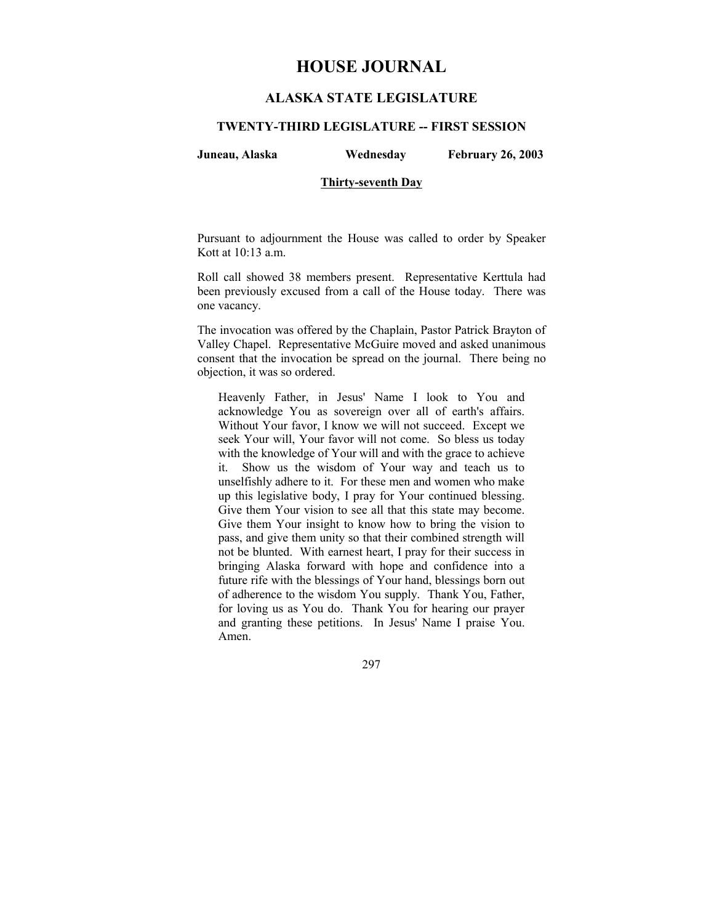# **HOUSE JOURNAL**

# **ALASKA STATE LEGISLATURE**

## **TWENTY-THIRD LEGISLATURE -- FIRST SESSION**

**Juneau, Alaska Wednesday February 26, 2003** 

## **Thirty-seventh Day**

Pursuant to adjournment the House was called to order by Speaker Kott at 10:13 a.m.

Roll call showed 38 members present. Representative Kerttula had been previously excused from a call of the House today. There was one vacancy.

The invocation was offered by the Chaplain, Pastor Patrick Brayton of Valley Chapel. Representative McGuire moved and asked unanimous consent that the invocation be spread on the journal. There being no objection, it was so ordered.

Heavenly Father, in Jesus' Name I look to You and acknowledge You as sovereign over all of earth's affairs. Without Your favor, I know we will not succeed. Except we seek Your will, Your favor will not come. So bless us today with the knowledge of Your will and with the grace to achieve it. Show us the wisdom of Your way and teach us to unselfishly adhere to it. For these men and women who make up this legislative body, I pray for Your continued blessing. Give them Your vision to see all that this state may become. Give them Your insight to know how to bring the vision to pass, and give them unity so that their combined strength will not be blunted. With earnest heart, I pray for their success in bringing Alaska forward with hope and confidence into a future rife with the blessings of Your hand, blessings born out of adherence to the wisdom You supply. Thank You, Father, for loving us as You do. Thank You for hearing our prayer and granting these petitions. In Jesus' Name I praise You. Amen.

297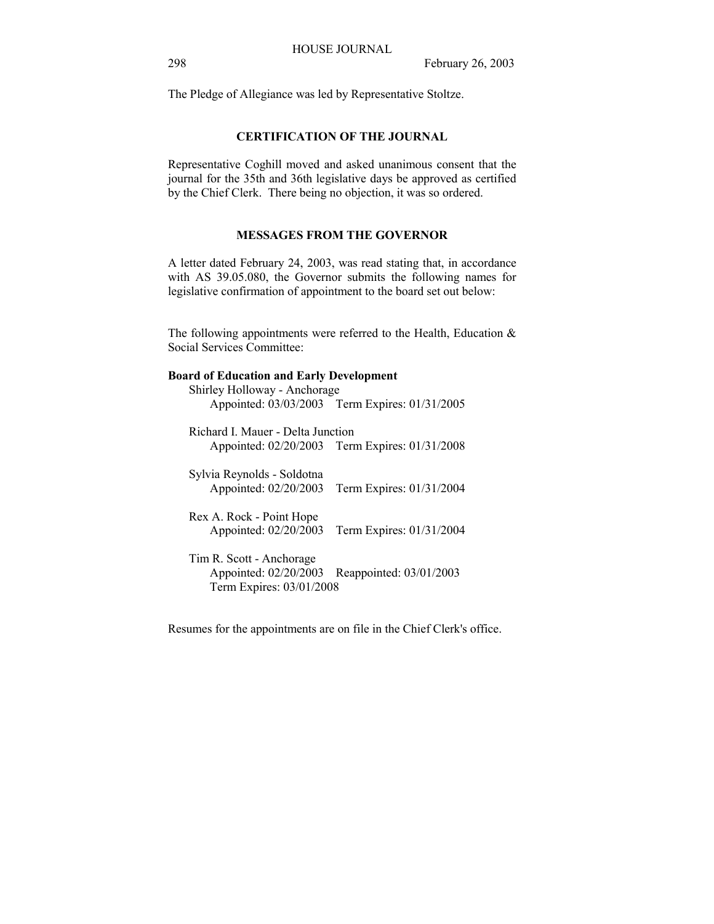The Pledge of Allegiance was led by Representative Stoltze.

## **CERTIFICATION OF THE JOURNAL**

Representative Coghill moved and asked unanimous consent that the journal for the 35th and 36th legislative days be approved as certified by the Chief Clerk. There being no objection, it was so ordered.

## **MESSAGES FROM THE GOVERNOR**

A letter dated February 24, 2003, was read stating that, in accordance with AS 39.05.080, the Governor submits the following names for legislative confirmation of appointment to the board set out below:

The following appointments were referred to the Health, Education  $\&$ Social Services Committee:

#### **Board of Education and Early Development**

| Shirley Holloway - Anchorage                                                                             | Appointed: 03/03/2003 Term Expires: 01/31/2005 |
|----------------------------------------------------------------------------------------------------------|------------------------------------------------|
| Richard L. Mauer - Delta Junction                                                                        | Appointed: 02/20/2003 Term Expires: 01/31/2008 |
| Sylvia Reynolds - Soldotna<br>Appointed: 02/20/2003                                                      | Term Expires: 01/31/2004                       |
| Rex A. Rock - Point Hope<br>Appointed: 02/20/2003                                                        | Term Expires: 01/31/2004                       |
| Tim R. Scott - Anchorage<br>Appointed: 02/20/2003<br>Reappointed: 03/01/2003<br>Term Expires: 03/01/2008 |                                                |

Resumes for the appointments are on file in the Chief Clerk's office.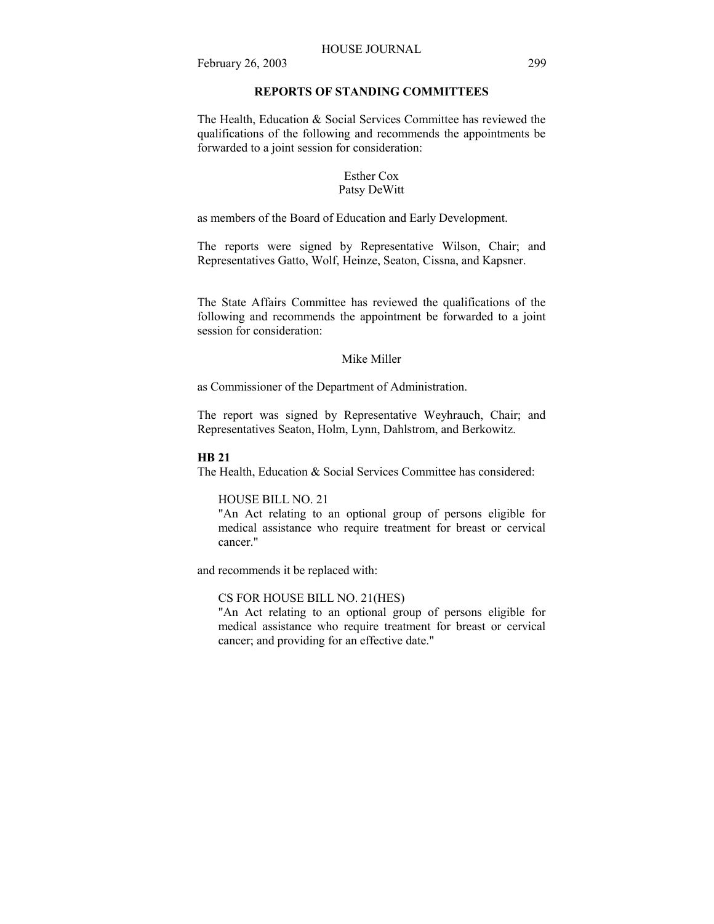## **REPORTS OF STANDING COMMITTEES**

The Health, Education & Social Services Committee has reviewed the qualifications of the following and recommends the appointments be forwarded to a joint session for consideration:

## Esther Cox Patsy DeWitt

as members of the Board of Education and Early Development.

The reports were signed by Representative Wilson, Chair; and Representatives Gatto, Wolf, Heinze, Seaton, Cissna, and Kapsner.

The State Affairs Committee has reviewed the qualifications of the following and recommends the appointment be forwarded to a joint session for consideration:

## Mike Miller

as Commissioner of the Department of Administration.

The report was signed by Representative Weyhrauch, Chair; and Representatives Seaton, Holm, Lynn, Dahlstrom, and Berkowitz.

#### **HB 21**

The Health, Education & Social Services Committee has considered:

## HOUSE BILL NO. 21

"An Act relating to an optional group of persons eligible for medical assistance who require treatment for breast or cervical cancer."

and recommends it be replaced with:

## CS FOR HOUSE BILL NO. 21(HES)

"An Act relating to an optional group of persons eligible for medical assistance who require treatment for breast or cervical cancer; and providing for an effective date."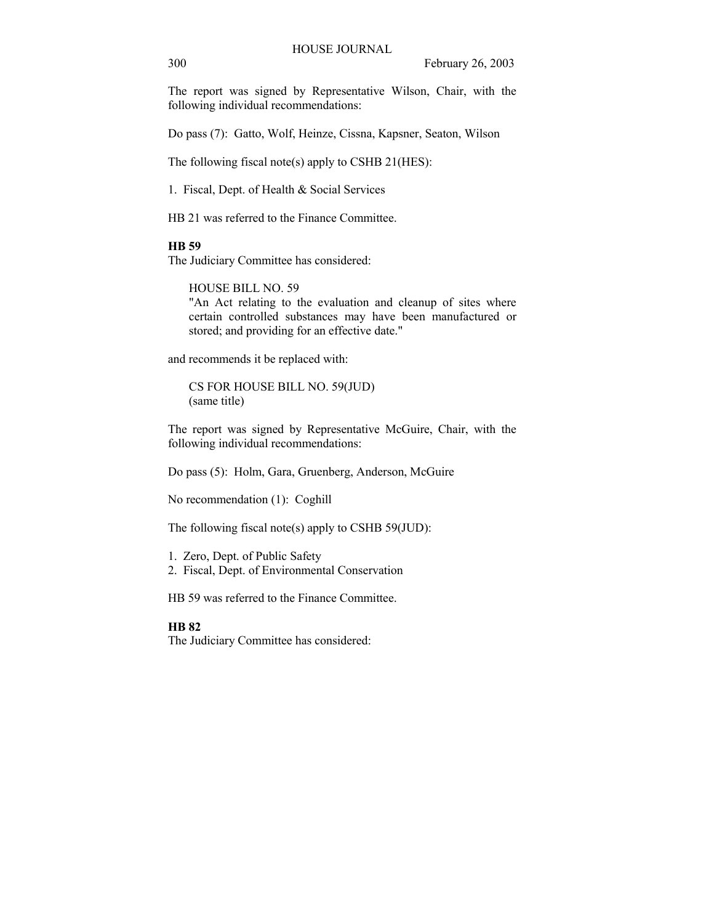The report was signed by Representative Wilson, Chair, with the following individual recommendations:

Do pass (7): Gatto, Wolf, Heinze, Cissna, Kapsner, Seaton, Wilson

The following fiscal note(s) apply to CSHB 21(HES):

1. Fiscal, Dept. of Health & Social Services

HB 21 was referred to the Finance Committee.

#### **HB 59**

The Judiciary Committee has considered:

HOUSE BILL NO. 59

"An Act relating to the evaluation and cleanup of sites where certain controlled substances may have been manufactured or stored; and providing for an effective date."

and recommends it be replaced with:

CS FOR HOUSE BILL NO. 59(JUD) (same title)

The report was signed by Representative McGuire, Chair, with the following individual recommendations:

Do pass (5): Holm, Gara, Gruenberg, Anderson, McGuire

No recommendation (1): Coghill

The following fiscal note(s) apply to CSHB 59(JUD):

1. Zero, Dept. of Public Safety

2. Fiscal, Dept. of Environmental Conservation

HB 59 was referred to the Finance Committee.

## **HB 82**

The Judiciary Committee has considered: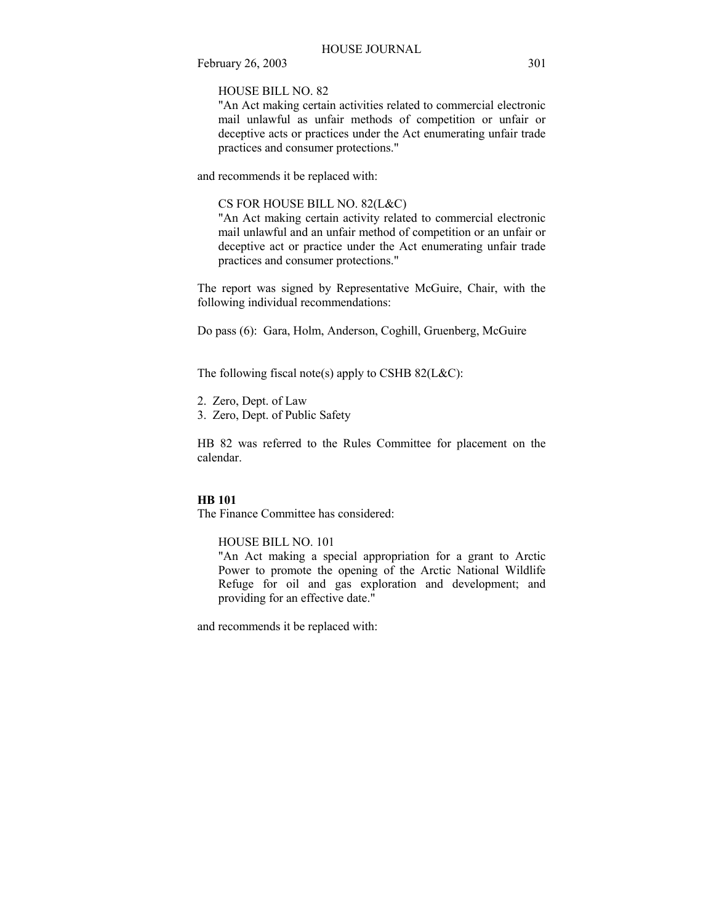HOUSE BILL NO. 82

"An Act making certain activities related to commercial electronic mail unlawful as unfair methods of competition or unfair or deceptive acts or practices under the Act enumerating unfair trade practices and consumer protections."

and recommends it be replaced with:

CS FOR HOUSE BILL NO. 82(L&C)

"An Act making certain activity related to commercial electronic mail unlawful and an unfair method of competition or an unfair or deceptive act or practice under the Act enumerating unfair trade practices and consumer protections."

The report was signed by Representative McGuire, Chair, with the following individual recommendations:

Do pass (6): Gara, Holm, Anderson, Coghill, Gruenberg, McGuire

The following fiscal note(s) apply to CSHB  $82(L&C)$ :

- 2. Zero, Dept. of Law
- 3. Zero, Dept. of Public Safety

HB 82 was referred to the Rules Committee for placement on the calendar.

## **HB 101**

The Finance Committee has considered:

HOUSE BILL NO. 101

"An Act making a special appropriation for a grant to Arctic Power to promote the opening of the Arctic National Wildlife Refuge for oil and gas exploration and development; and providing for an effective date."

and recommends it be replaced with: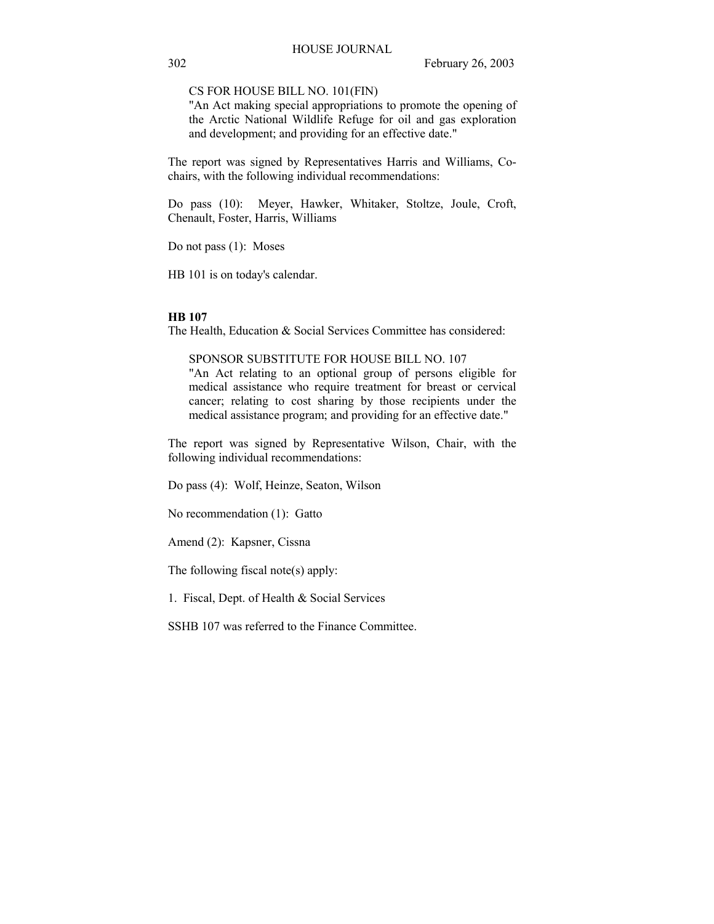CS FOR HOUSE BILL NO. 101(FIN)

"An Act making special appropriations to promote the opening of the Arctic National Wildlife Refuge for oil and gas exploration and development; and providing for an effective date."

The report was signed by Representatives Harris and Williams, Cochairs, with the following individual recommendations:

Do pass (10): Meyer, Hawker, Whitaker, Stoltze, Joule, Croft, Chenault, Foster, Harris, Williams

Do not pass (1): Moses

HB 101 is on today's calendar.

#### **HB 107**

The Health, Education & Social Services Committee has considered:

## SPONSOR SUBSTITUTE FOR HOUSE BILL NO. 107

"An Act relating to an optional group of persons eligible for medical assistance who require treatment for breast or cervical cancer; relating to cost sharing by those recipients under the medical assistance program; and providing for an effective date."

The report was signed by Representative Wilson, Chair, with the following individual recommendations:

Do pass (4): Wolf, Heinze, Seaton, Wilson

No recommendation (1): Gatto

Amend (2): Kapsner, Cissna

The following fiscal note(s) apply:

1. Fiscal, Dept. of Health & Social Services

SSHB 107 was referred to the Finance Committee.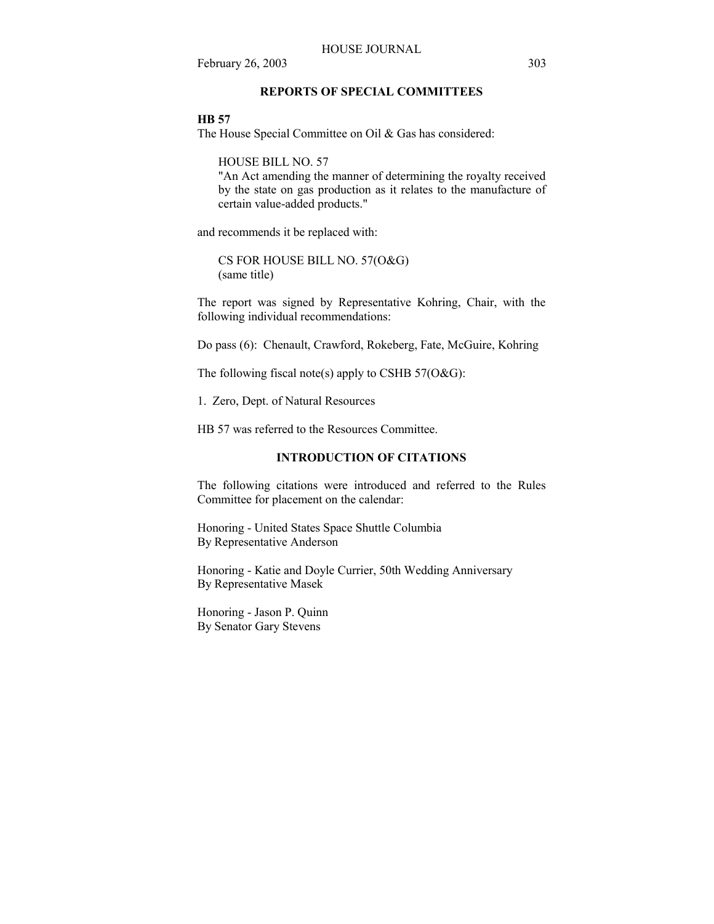## **REPORTS OF SPECIAL COMMITTEES**

## **HB 57**

The House Special Committee on Oil & Gas has considered:

HOUSE BILL NO. 57

"An Act amending the manner of determining the royalty received by the state on gas production as it relates to the manufacture of certain value-added products."

and recommends it be replaced with:

CS FOR HOUSE BILL NO. 57(O&G) (same title)

The report was signed by Representative Kohring, Chair, with the following individual recommendations:

Do pass (6): Chenault, Crawford, Rokeberg, Fate, McGuire, Kohring

The following fiscal note(s) apply to CSHB  $57(O&G)$ :

1. Zero, Dept. of Natural Resources

HB 57 was referred to the Resources Committee.

# **INTRODUCTION OF CITATIONS**

The following citations were introduced and referred to the Rules Committee for placement on the calendar:

Honoring - United States Space Shuttle Columbia By Representative Anderson

Honoring - Katie and Doyle Currier, 50th Wedding Anniversary By Representative Masek

Honoring - Jason P. Quinn By Senator Gary Stevens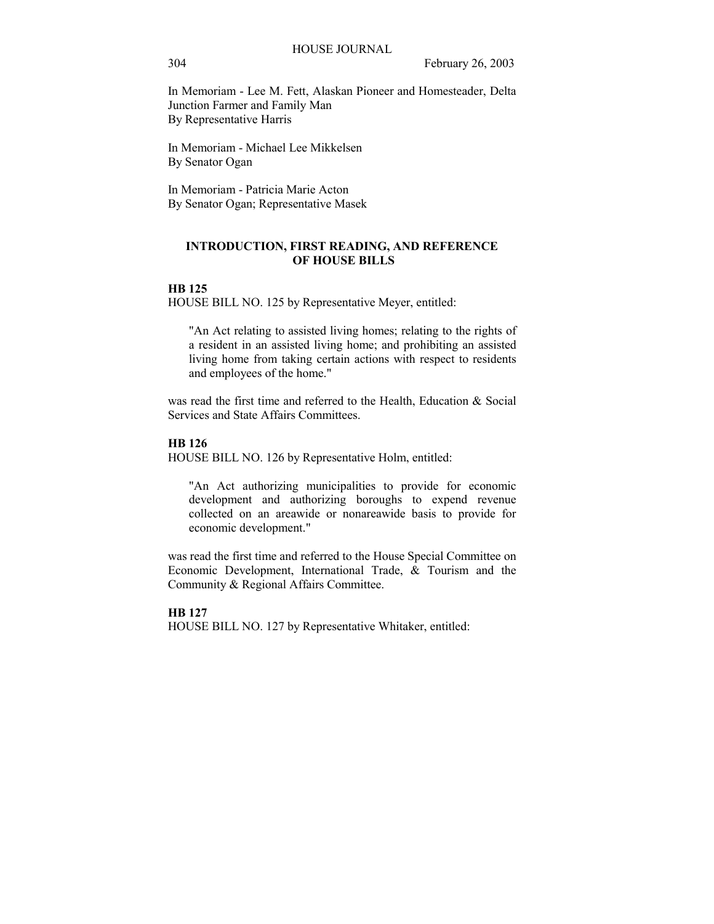In Memoriam - Lee M. Fett, Alaskan Pioneer and Homesteader, Delta Junction Farmer and Family Man By Representative Harris

In Memoriam - Michael Lee Mikkelsen By Senator Ogan

In Memoriam - Patricia Marie Acton By Senator Ogan; Representative Masek

## **INTRODUCTION, FIRST READING, AND REFERENCE OF HOUSE BILLS**

#### **HB 125**

HOUSE BILL NO. 125 by Representative Meyer, entitled:

"An Act relating to assisted living homes; relating to the rights of a resident in an assisted living home; and prohibiting an assisted living home from taking certain actions with respect to residents and employees of the home."

was read the first time and referred to the Health, Education & Social Services and State Affairs Committees.

## **HB 126**

HOUSE BILL NO. 126 by Representative Holm, entitled:

"An Act authorizing municipalities to provide for economic development and authorizing boroughs to expend revenue collected on an areawide or nonareawide basis to provide for economic development."

was read the first time and referred to the House Special Committee on Economic Development, International Trade, & Tourism and the Community & Regional Affairs Committee.

**HB 127** HOUSE BILL NO. 127 by Representative Whitaker, entitled: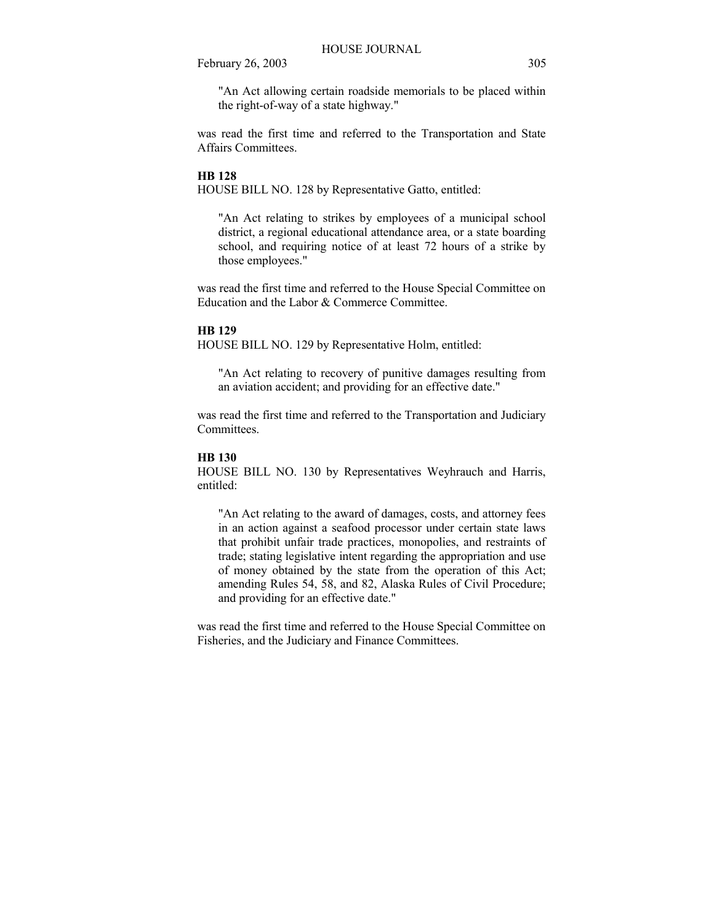"An Act allowing certain roadside memorials to be placed within the right-of-way of a state highway."

was read the first time and referred to the Transportation and State Affairs Committees.

## **HB 128**

HOUSE BILL NO. 128 by Representative Gatto, entitled:

"An Act relating to strikes by employees of a municipal school district, a regional educational attendance area, or a state boarding school, and requiring notice of at least 72 hours of a strike by those employees."

was read the first time and referred to the House Special Committee on Education and the Labor & Commerce Committee.

## **HB 129**

HOUSE BILL NO. 129 by Representative Holm, entitled:

"An Act relating to recovery of punitive damages resulting from an aviation accident; and providing for an effective date."

was read the first time and referred to the Transportation and Judiciary **Committees** 

#### **HB 130**

HOUSE BILL NO. 130 by Representatives Weyhrauch and Harris, entitled:

"An Act relating to the award of damages, costs, and attorney fees in an action against a seafood processor under certain state laws that prohibit unfair trade practices, monopolies, and restraints of trade; stating legislative intent regarding the appropriation and use of money obtained by the state from the operation of this Act; amending Rules 54, 58, and 82, Alaska Rules of Civil Procedure; and providing for an effective date."

was read the first time and referred to the House Special Committee on Fisheries, and the Judiciary and Finance Committees.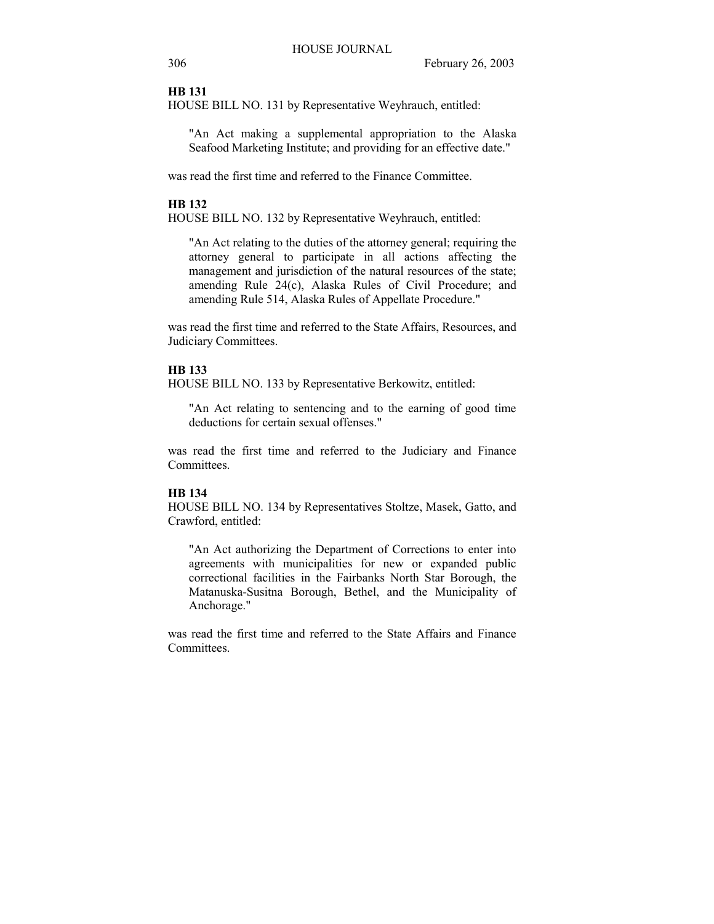#### **HB 131**

HOUSE BILL NO. 131 by Representative Weyhrauch, entitled:

"An Act making a supplemental appropriation to the Alaska Seafood Marketing Institute; and providing for an effective date."

was read the first time and referred to the Finance Committee.

## **HB 132**

HOUSE BILL NO. 132 by Representative Weyhrauch, entitled:

"An Act relating to the duties of the attorney general; requiring the attorney general to participate in all actions affecting the management and jurisdiction of the natural resources of the state; amending Rule 24(c), Alaska Rules of Civil Procedure; and amending Rule 514, Alaska Rules of Appellate Procedure."

was read the first time and referred to the State Affairs, Resources, and Judiciary Committees.

#### **HB 133**

HOUSE BILL NO. 133 by Representative Berkowitz, entitled:

"An Act relating to sentencing and to the earning of good time deductions for certain sexual offenses."

was read the first time and referred to the Judiciary and Finance Committees.

## **HB 134**

HOUSE BILL NO. 134 by Representatives Stoltze, Masek, Gatto, and Crawford, entitled:

"An Act authorizing the Department of Corrections to enter into agreements with municipalities for new or expanded public correctional facilities in the Fairbanks North Star Borough, the Matanuska-Susitna Borough, Bethel, and the Municipality of Anchorage."

was read the first time and referred to the State Affairs and Finance **Committees**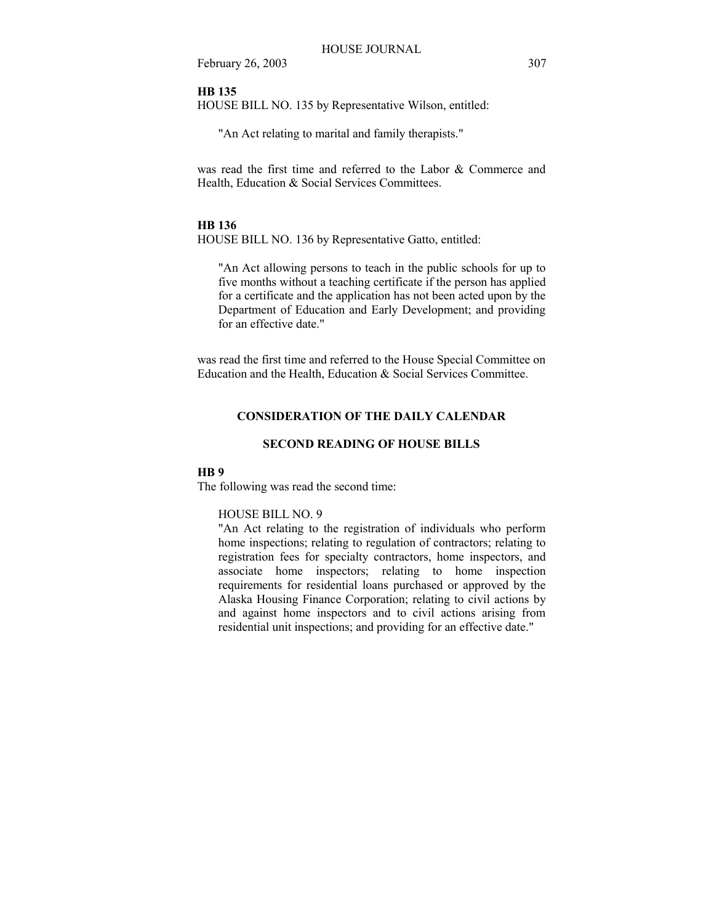## **HB 135**

HOUSE BILL NO. 135 by Representative Wilson, entitled:

"An Act relating to marital and family therapists."

was read the first time and referred to the Labor & Commerce and Health, Education & Social Services Committees.

#### **HB 136**

HOUSE BILL NO. 136 by Representative Gatto, entitled:

"An Act allowing persons to teach in the public schools for up to five months without a teaching certificate if the person has applied for a certificate and the application has not been acted upon by the Department of Education and Early Development; and providing for an effective date."

was read the first time and referred to the House Special Committee on Education and the Health, Education & Social Services Committee.

## **CONSIDERATION OF THE DAILY CALENDAR**

#### **SECOND READING OF HOUSE BILLS**

#### **HB 9**

The following was read the second time:

#### HOUSE BILL NO. 9

"An Act relating to the registration of individuals who perform home inspections; relating to regulation of contractors; relating to registration fees for specialty contractors, home inspectors, and associate home inspectors; relating to home inspection requirements for residential loans purchased or approved by the Alaska Housing Finance Corporation; relating to civil actions by and against home inspectors and to civil actions arising from residential unit inspections; and providing for an effective date."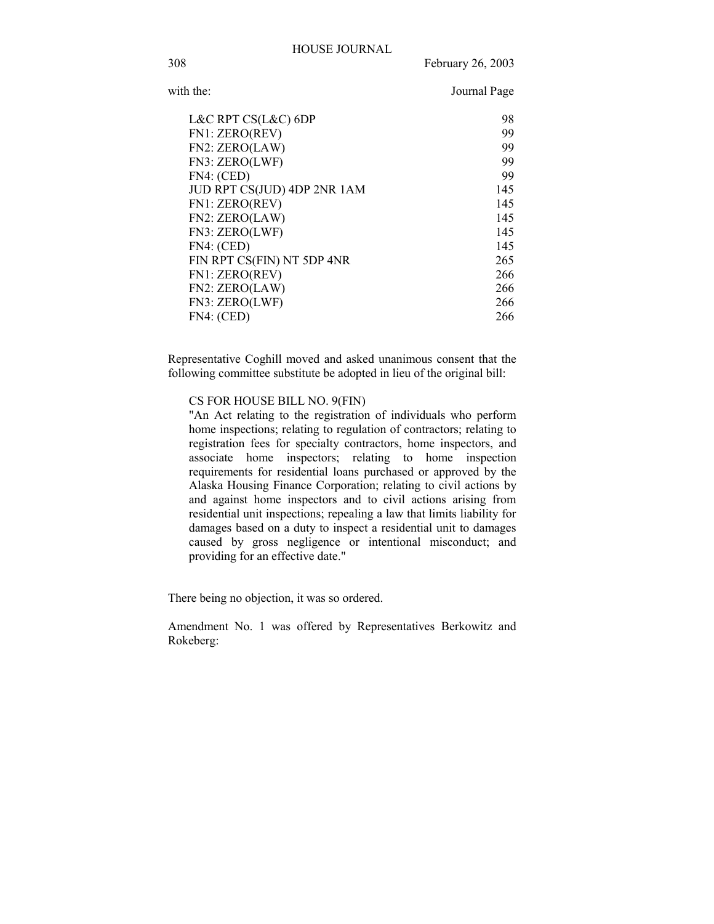| with the:                   | Journal Page |
|-----------------------------|--------------|
| L&C RPT CS(L&C) 6DP         | 98           |
| FN1: ZERO(REV)              | 99           |
| FN2: ZERO(LAW)              | 99           |
| FN3: ZERO(LWF)              | 99           |
| FN4: (CED)                  | 99           |
| JUD RPT CS(JUD) 4DP 2NR 1AM | 145          |
| FN1: ZERO(REV)              | 145          |
| FN2: ZERO(LAW)              | 145          |
| FN3: ZERO(LWF)              | 145          |
| FN4: (CED)                  | 145          |
| FIN RPT CS(FIN) NT 5DP 4NR  | 265          |
| FN1: ZERO(REV)              | 266          |
| FN2: ZERO(LAW)              | 266          |
| FN3: ZERO(LWF)              | 266          |
| FN4: (CED)                  | 266          |

Representative Coghill moved and asked unanimous consent that the following committee substitute be adopted in lieu of the original bill:

## CS FOR HOUSE BILL NO. 9(FIN)

"An Act relating to the registration of individuals who perform home inspections; relating to regulation of contractors; relating to registration fees for specialty contractors, home inspectors, and associate home inspectors; relating to home inspection requirements for residential loans purchased or approved by the Alaska Housing Finance Corporation; relating to civil actions by and against home inspectors and to civil actions arising from residential unit inspections; repealing a law that limits liability for damages based on a duty to inspect a residential unit to damages caused by gross negligence or intentional misconduct; and providing for an effective date."

There being no objection, it was so ordered.

Amendment No. 1 was offered by Representatives Berkowitz and Rokeberg: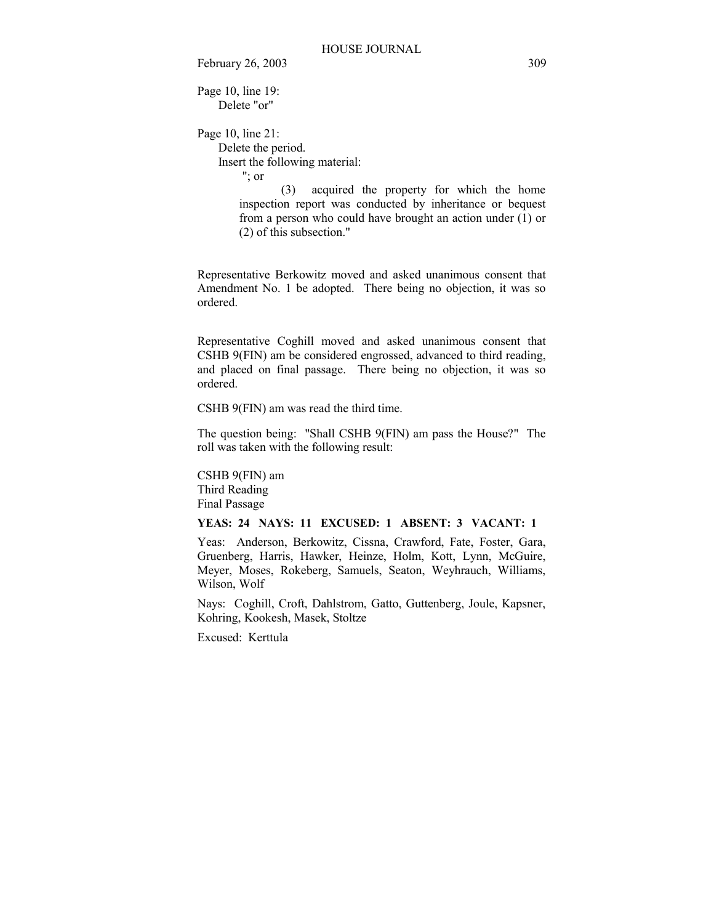Page 10, line 19: Delete "or"

Page 10, line 21: Delete the period. Insert the following material: "; or

 (3) acquired the property for which the home inspection report was conducted by inheritance or bequest from a person who could have brought an action under  $(1)$  or (2) of this subsection."

Representative Berkowitz moved and asked unanimous consent that Amendment No. 1 be adopted. There being no objection, it was so ordered.

Representative Coghill moved and asked unanimous consent that CSHB 9(FIN) am be considered engrossed, advanced to third reading, and placed on final passage. There being no objection, it was so ordered.

CSHB 9(FIN) am was read the third time.

The question being: "Shall CSHB 9(FIN) am pass the House?" The roll was taken with the following result:

CSHB 9(FIN) am Third Reading Final Passage

## **YEAS: 24 NAYS: 11 EXCUSED: 1 ABSENT: 3 VACANT: 1**

Yeas: Anderson, Berkowitz, Cissna, Crawford, Fate, Foster, Gara, Gruenberg, Harris, Hawker, Heinze, Holm, Kott, Lynn, McGuire, Meyer, Moses, Rokeberg, Samuels, Seaton, Weyhrauch, Williams, Wilson, Wolf

Nays: Coghill, Croft, Dahlstrom, Gatto, Guttenberg, Joule, Kapsner, Kohring, Kookesh, Masek, Stoltze

Excused: Kerttula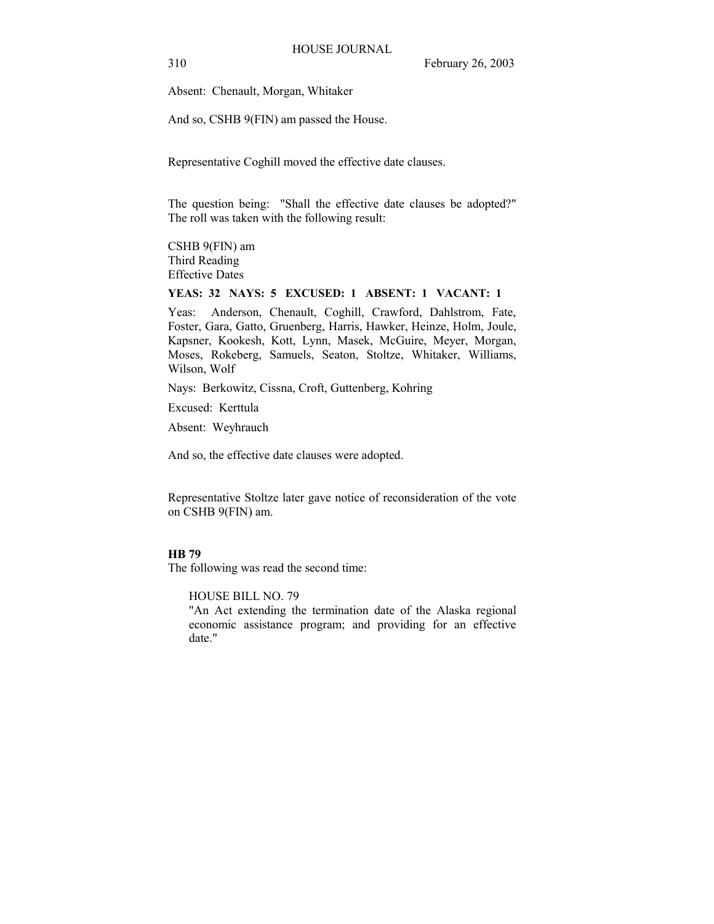Absent: Chenault, Morgan, Whitaker

And so, CSHB 9(FIN) am passed the House.

Representative Coghill moved the effective date clauses.

The question being: "Shall the effective date clauses be adopted?" The roll was taken with the following result:

CSHB 9(FIN) am Third Reading Effective Dates

# **YEAS: 32 NAYS: 5 EXCUSED: 1 ABSENT: 1 VACANT: 1**

Yeas: Anderson, Chenault, Coghill, Crawford, Dahlstrom, Fate, Foster, Gara, Gatto, Gruenberg, Harris, Hawker, Heinze, Holm, Joule, Kapsner, Kookesh, Kott, Lynn, Masek, McGuire, Meyer, Morgan, Moses, Rokeberg, Samuels, Seaton, Stoltze, Whitaker, Williams, Wilson, Wolf

Nays: Berkowitz, Cissna, Croft, Guttenberg, Kohring

Excused: Kerttula

Absent: Weyhrauch

And so, the effective date clauses were adopted.

Representative Stoltze later gave notice of reconsideration of the vote on CSHB 9(FIN) am.

## **HB 79**

The following was read the second time:

HOUSE BILL NO. 79

"An Act extending the termination date of the Alaska regional economic assistance program; and providing for an effective date."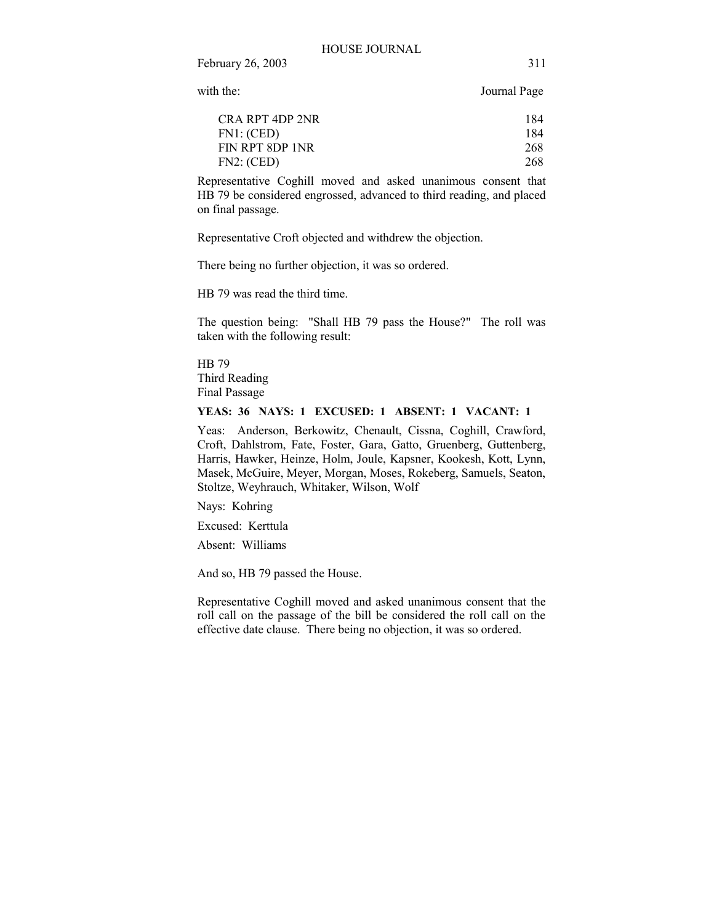with the: Journal Page

| CRA RPT 4DP 2NR | 184 |
|-----------------|-----|
| FN1: (CED)      | 184 |
| FIN RPT 8DP 1NR | 268 |
| FN2: (CED)      | 268 |

Representative Coghill moved and asked unanimous consent that HB 79 be considered engrossed, advanced to third reading, and placed on final passage.

Representative Croft objected and withdrew the objection.

There being no further objection, it was so ordered.

HB 79 was read the third time.

The question being: "Shall HB 79 pass the House?" The roll was taken with the following result:

HB 79 Third Reading Final Passage

## **YEAS: 36 NAYS: 1 EXCUSED: 1 ABSENT: 1 VACANT: 1**

Yeas: Anderson, Berkowitz, Chenault, Cissna, Coghill, Crawford, Croft, Dahlstrom, Fate, Foster, Gara, Gatto, Gruenberg, Guttenberg, Harris, Hawker, Heinze, Holm, Joule, Kapsner, Kookesh, Kott, Lynn, Masek, McGuire, Meyer, Morgan, Moses, Rokeberg, Samuels, Seaton, Stoltze, Weyhrauch, Whitaker, Wilson, Wolf

Nays: Kohring

Excused: Kerttula

Absent: Williams

And so, HB 79 passed the House.

Representative Coghill moved and asked unanimous consent that the roll call on the passage of the bill be considered the roll call on the effective date clause. There being no objection, it was so ordered.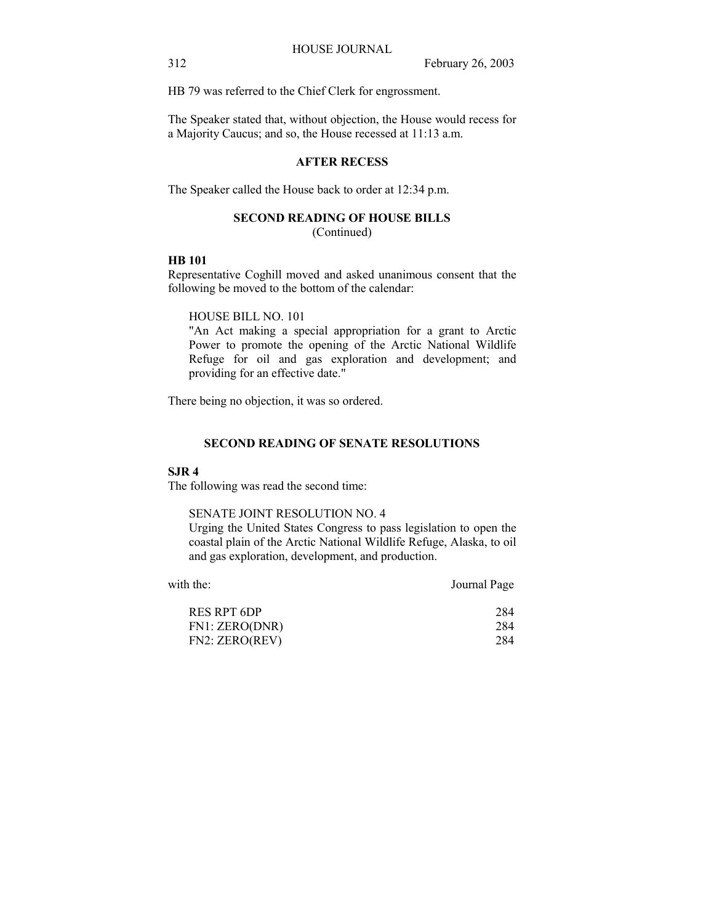HB 79 was referred to the Chief Clerk for engrossment.

The Speaker stated that, without objection, the House would recess for a Majority Caucus; and so, the House recessed at 11:13 a.m.

## **AFTER RECESS**

The Speaker called the House back to order at 12:34 p.m.

## **SECOND READING OF HOUSE BILLS**

(Continued)

## **HB 101**

Representative Coghill moved and asked unanimous consent that the following be moved to the bottom of the calendar:

HOUSE BILL NO. 101

"An Act making a special appropriation for a grant to Arctic Power to promote the opening of the Arctic National Wildlife Refuge for oil and gas exploration and development; and providing for an effective date."

There being no objection, it was so ordered.

## **SECOND READING OF SENATE RESOLUTIONS**

#### **SJR 4**

The following was read the second time:

## SENATE JOINT RESOLUTION NO. 4

Urging the United States Congress to pass legislation to open the coastal plain of the Arctic National Wildlife Refuge, Alaska, to oil and gas exploration, development, and production.

| with the:      | Journal Page |
|----------------|--------------|
| RES RPT 6DP    | 284          |
| FN1: ZERO(DNR) | 284          |
| FN2: ZERO(REV) | 284          |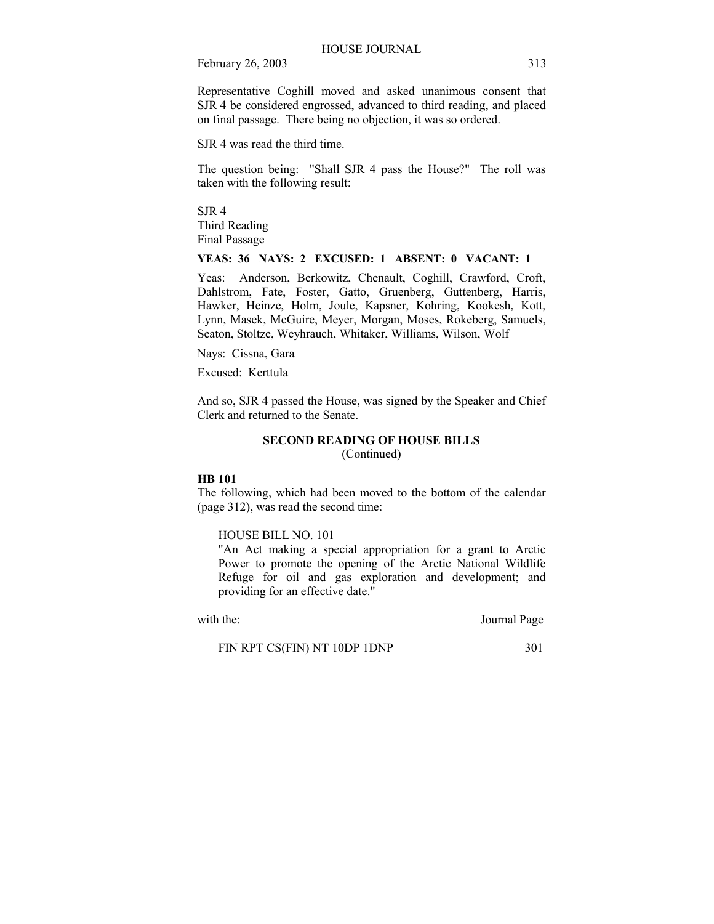Representative Coghill moved and asked unanimous consent that SJR 4 be considered engrossed, advanced to third reading, and placed on final passage. There being no objection, it was so ordered.

SJR 4 was read the third time.

The question being: "Shall SJR 4 pass the House?" The roll was taken with the following result:

SJR 4 Third Reading Final Passage

## **YEAS: 36 NAYS: 2 EXCUSED: 1 ABSENT: 0 VACANT: 1**

Yeas: Anderson, Berkowitz, Chenault, Coghill, Crawford, Croft, Dahlstrom, Fate, Foster, Gatto, Gruenberg, Guttenberg, Harris, Hawker, Heinze, Holm, Joule, Kapsner, Kohring, Kookesh, Kott, Lynn, Masek, McGuire, Meyer, Morgan, Moses, Rokeberg, Samuels, Seaton, Stoltze, Weyhrauch, Whitaker, Williams, Wilson, Wolf

Nays: Cissna, Gara

Excused: Kerttula

And so, SJR 4 passed the House, was signed by the Speaker and Chief Clerk and returned to the Senate.

## **SECOND READING OF HOUSE BILLS**

(Continued)

#### **HB 101**

The following, which had been moved to the bottom of the calendar (page 312), was read the second time:

## HOUSE BILL NO. 101

"An Act making a special appropriation for a grant to Arctic Power to promote the opening of the Arctic National Wildlife Refuge for oil and gas exploration and development; and providing for an effective date."

with the: Journal Page

FIN RPT CS(FIN) NT 10DP 1DNP 301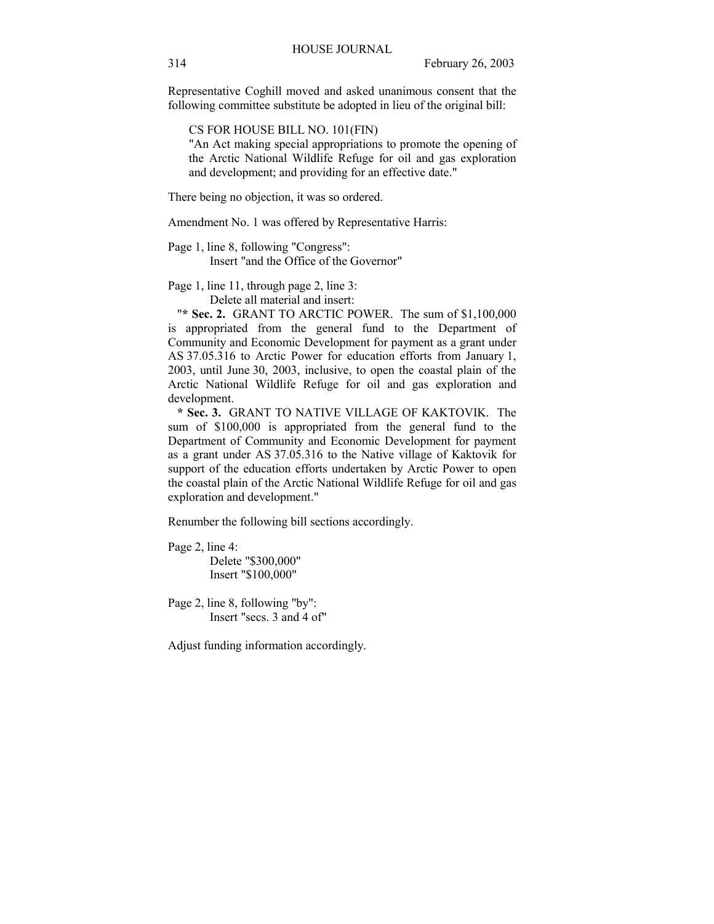Representative Coghill moved and asked unanimous consent that the following committee substitute be adopted in lieu of the original bill:

CS FOR HOUSE BILL NO. 101(FIN)

"An Act making special appropriations to promote the opening of the Arctic National Wildlife Refuge for oil and gas exploration and development; and providing for an effective date."

There being no objection, it was so ordered.

Amendment No. 1 was offered by Representative Harris:

Page 1, line 8, following "Congress": Insert "and the Office of the Governor"

Page 1, line 11, through page 2, line 3: Delete all material and insert:

"**\* Sec. 2.** GRANT TO ARCTIC POWER. The sum of \$1,100,000 is appropriated from the general fund to the Department of Community and Economic Development for payment as a grant under AS 37.05.316 to Arctic Power for education efforts from January 1, 2003, until June 30, 2003, inclusive, to open the coastal plain of the Arctic National Wildlife Refuge for oil and gas exploration and development.

 **\* Sec. 3.** GRANT TO NATIVE VILLAGE OF KAKTOVIK. The sum of \$100,000 is appropriated from the general fund to the Department of Community and Economic Development for payment as a grant under AS 37.05.316 to the Native village of Kaktovik for support of the education efforts undertaken by Arctic Power to open the coastal plain of the Arctic National Wildlife Refuge for oil and gas exploration and development."

Renumber the following bill sections accordingly.

Page 2, line 4: Delete "\$300,000" Insert "\$100,000"

Page 2, line 8, following "by": Insert "secs. 3 and 4 of"

Adjust funding information accordingly.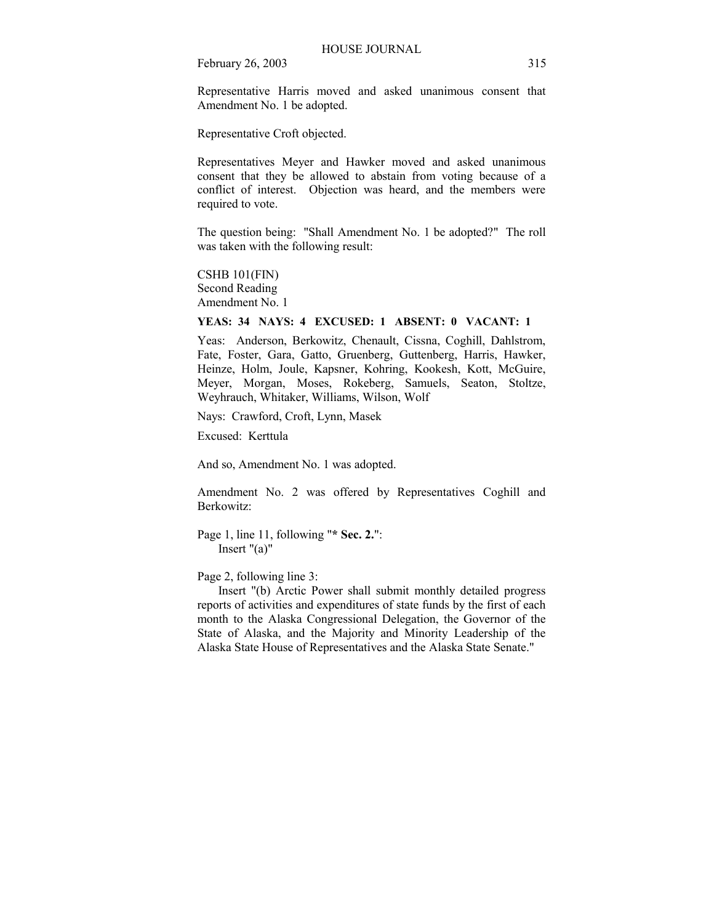Representative Harris moved and asked unanimous consent that Amendment No. 1 be adopted.

Representative Croft objected.

Representatives Meyer and Hawker moved and asked unanimous consent that they be allowed to abstain from voting because of a conflict of interest. Objection was heard, and the members were required to vote.

The question being: "Shall Amendment No. 1 be adopted?" The roll was taken with the following result:

CSHB 101(FIN) Second Reading Amendment No. 1

#### **YEAS: 34 NAYS: 4 EXCUSED: 1 ABSENT: 0 VACANT: 1**

Yeas: Anderson, Berkowitz, Chenault, Cissna, Coghill, Dahlstrom, Fate, Foster, Gara, Gatto, Gruenberg, Guttenberg, Harris, Hawker, Heinze, Holm, Joule, Kapsner, Kohring, Kookesh, Kott, McGuire, Meyer, Morgan, Moses, Rokeberg, Samuels, Seaton, Stoltze, Weyhrauch, Whitaker, Williams, Wilson, Wolf

Nays: Crawford, Croft, Lynn, Masek

Excused: Kerttula

And so, Amendment No. 1 was adopted.

Amendment No. 2 was offered by Representatives Coghill and Berkowitz:

Page 1, line 11, following "**\* Sec. 2.**": Insert "(a)"

Page 2, following line 3:

 Insert "(b) Arctic Power shall submit monthly detailed progress reports of activities and expenditures of state funds by the first of each month to the Alaska Congressional Delegation, the Governor of the State of Alaska, and the Majority and Minority Leadership of the Alaska State House of Representatives and the Alaska State Senate."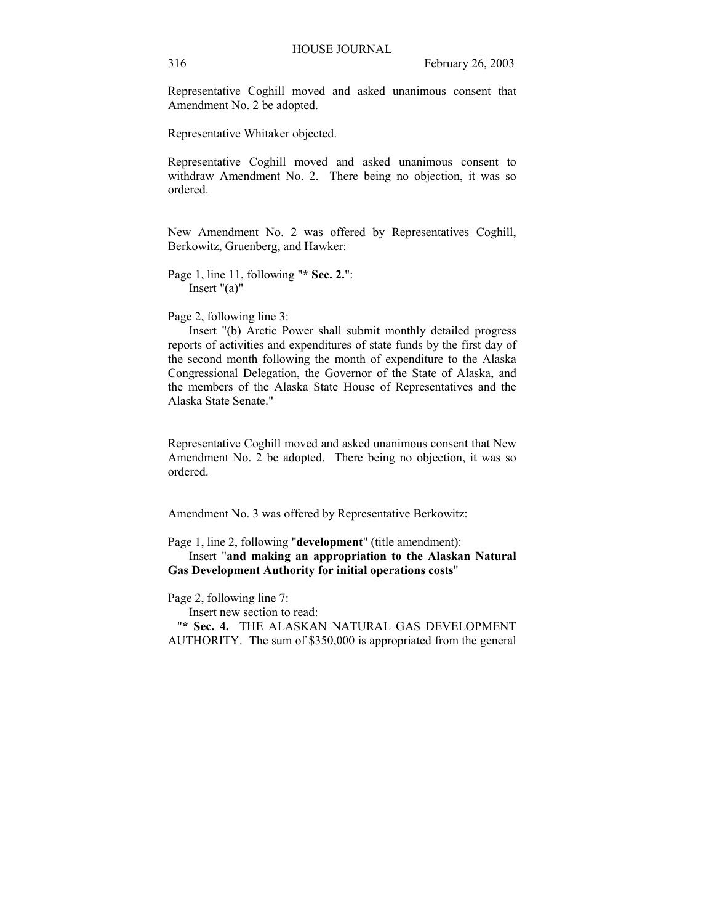Representative Coghill moved and asked unanimous consent that Amendment No. 2 be adopted.

Representative Whitaker objected.

Representative Coghill moved and asked unanimous consent to withdraw Amendment No. 2. There being no objection, it was so ordered.

New Amendment No. 2 was offered by Representatives Coghill, Berkowitz, Gruenberg, and Hawker:

Page 1, line 11, following "**\* Sec. 2.**": Insert "(a)"

Page 2, following line 3:

 Insert "(b) Arctic Power shall submit monthly detailed progress reports of activities and expenditures of state funds by the first day of the second month following the month of expenditure to the Alaska Congressional Delegation, the Governor of the State of Alaska, and the members of the Alaska State House of Representatives and the Alaska State Senate."

Representative Coghill moved and asked unanimous consent that New Amendment No. 2 be adopted. There being no objection, it was so ordered.

Amendment No. 3 was offered by Representative Berkowitz:

Page 1, line 2, following "**development**" (title amendment): Insert "**and making an appropriation to the Alaskan Natural Gas Development Authority for initial operations costs**"

## Page 2, following line 7:

Insert new section to read:

 "**\* Sec. 4.** THE ALASKAN NATURAL GAS DEVELOPMENT AUTHORITY. The sum of \$350,000 is appropriated from the general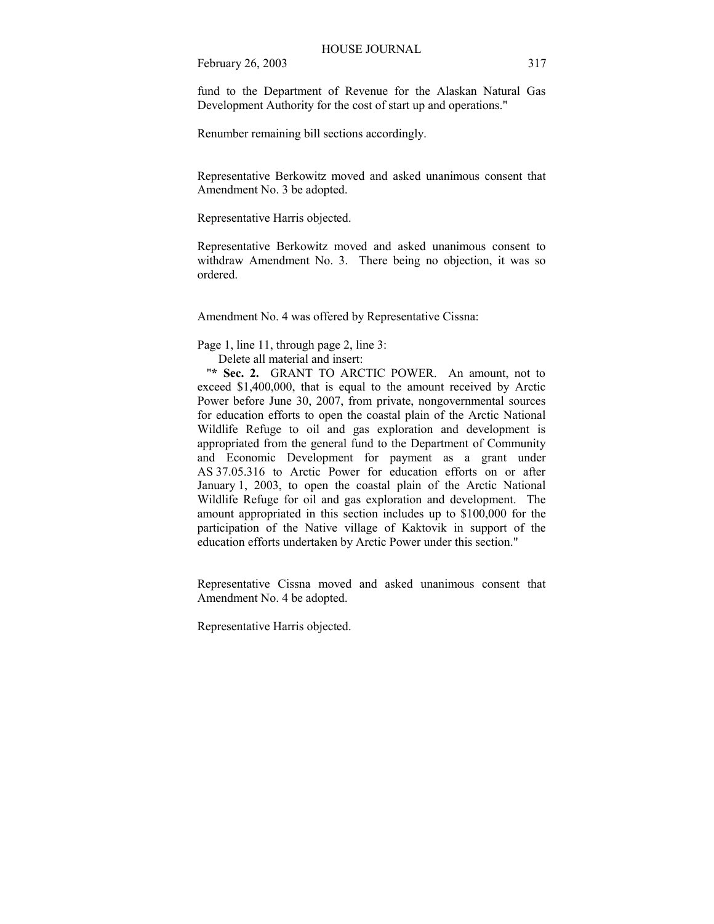fund to the Department of Revenue for the Alaskan Natural Gas Development Authority for the cost of start up and operations."

Renumber remaining bill sections accordingly.

Representative Berkowitz moved and asked unanimous consent that Amendment No. 3 be adopted.

Representative Harris objected.

Representative Berkowitz moved and asked unanimous consent to withdraw Amendment No. 3. There being no objection, it was so ordered.

Amendment No. 4 was offered by Representative Cissna:

Page 1, line 11, through page 2, line 3:

Delete all material and insert:

"**\* Sec. 2.** GRANT TO ARCTIC POWER. An amount, not to exceed \$1,400,000, that is equal to the amount received by Arctic Power before June 30, 2007, from private, nongovernmental sources for education efforts to open the coastal plain of the Arctic National Wildlife Refuge to oil and gas exploration and development is appropriated from the general fund to the Department of Community and Economic Development for payment as a grant under AS 37.05.316 to Arctic Power for education efforts on or after January 1, 2003, to open the coastal plain of the Arctic National Wildlife Refuge for oil and gas exploration and development. The amount appropriated in this section includes up to \$100,000 for the participation of the Native village of Kaktovik in support of the education efforts undertaken by Arctic Power under this section."

Representative Cissna moved and asked unanimous consent that Amendment No. 4 be adopted.

Representative Harris objected.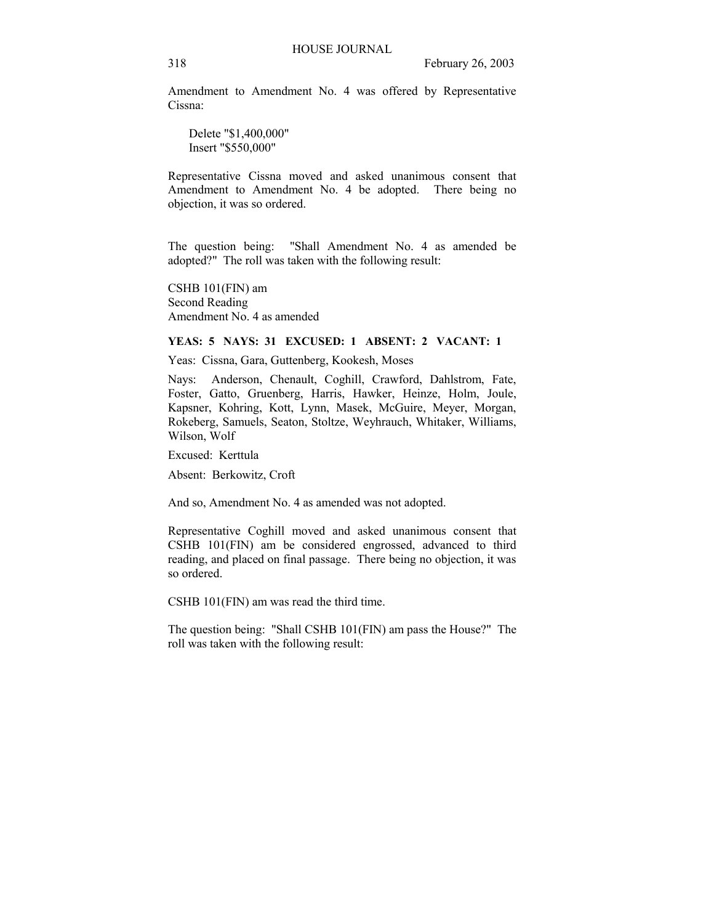Amendment to Amendment No. 4 was offered by Representative Cissna:

 Delete "\$1,400,000" Insert "\$550,000"

Representative Cissna moved and asked unanimous consent that Amendment to Amendment No. 4 be adopted. There being no objection, it was so ordered.

The question being: "Shall Amendment No. 4 as amended be adopted?" The roll was taken with the following result:

CSHB 101(FIN) am Second Reading Amendment No. 4 as amended

## **YEAS: 5 NAYS: 31 EXCUSED: 1 ABSENT: 2 VACANT: 1**

Yeas: Cissna, Gara, Guttenberg, Kookesh, Moses

Nays: Anderson, Chenault, Coghill, Crawford, Dahlstrom, Fate, Foster, Gatto, Gruenberg, Harris, Hawker, Heinze, Holm, Joule, Kapsner, Kohring, Kott, Lynn, Masek, McGuire, Meyer, Morgan, Rokeberg, Samuels, Seaton, Stoltze, Weyhrauch, Whitaker, Williams, Wilson, Wolf

Excused: Kerttula

Absent: Berkowitz, Croft

And so, Amendment No. 4 as amended was not adopted.

Representative Coghill moved and asked unanimous consent that CSHB 101(FIN) am be considered engrossed, advanced to third reading, and placed on final passage. There being no objection, it was so ordered.

CSHB 101(FIN) am was read the third time.

The question being: "Shall CSHB 101(FIN) am pass the House?" The roll was taken with the following result: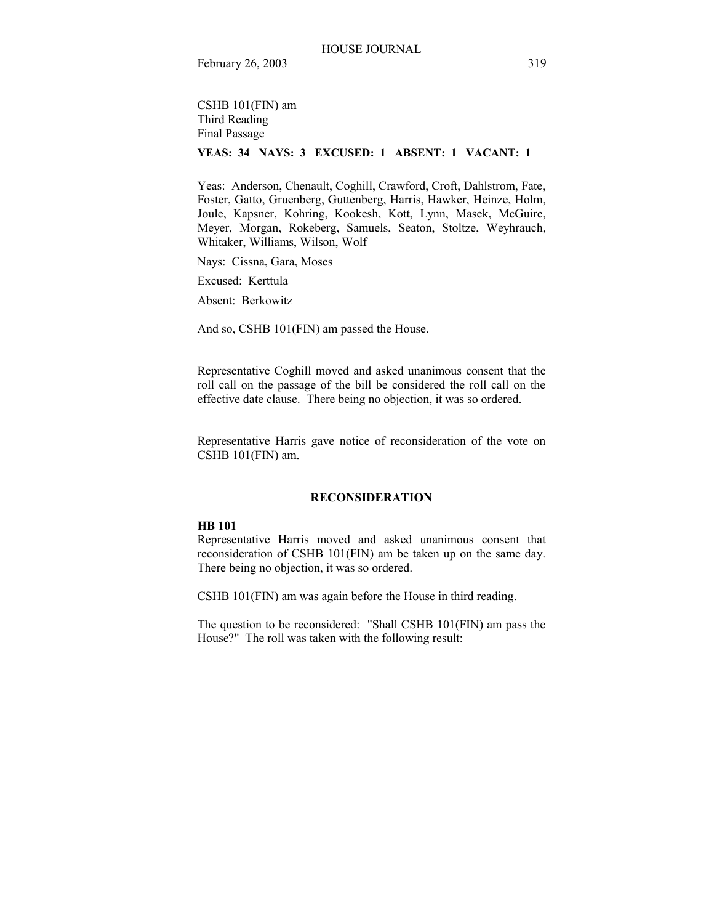CSHB 101(FIN) am Third Reading Final Passage

# **YEAS: 34 NAYS: 3 EXCUSED: 1 ABSENT: 1 VACANT: 1**

Yeas: Anderson, Chenault, Coghill, Crawford, Croft, Dahlstrom, Fate, Foster, Gatto, Gruenberg, Guttenberg, Harris, Hawker, Heinze, Holm, Joule, Kapsner, Kohring, Kookesh, Kott, Lynn, Masek, McGuire, Meyer, Morgan, Rokeberg, Samuels, Seaton, Stoltze, Weyhrauch, Whitaker, Williams, Wilson, Wolf

Nays: Cissna, Gara, Moses

Excused: Kerttula

Absent: Berkowitz

And so, CSHB 101(FIN) am passed the House.

Representative Coghill moved and asked unanimous consent that the roll call on the passage of the bill be considered the roll call on the effective date clause. There being no objection, it was so ordered.

Representative Harris gave notice of reconsideration of the vote on CSHB 101(FIN) am.

#### **RECONSIDERATION**

## **HB 101**

Representative Harris moved and asked unanimous consent that reconsideration of CSHB 101(FIN) am be taken up on the same day. There being no objection, it was so ordered.

CSHB 101(FIN) am was again before the House in third reading.

The question to be reconsidered: "Shall CSHB 101(FIN) am pass the House?" The roll was taken with the following result: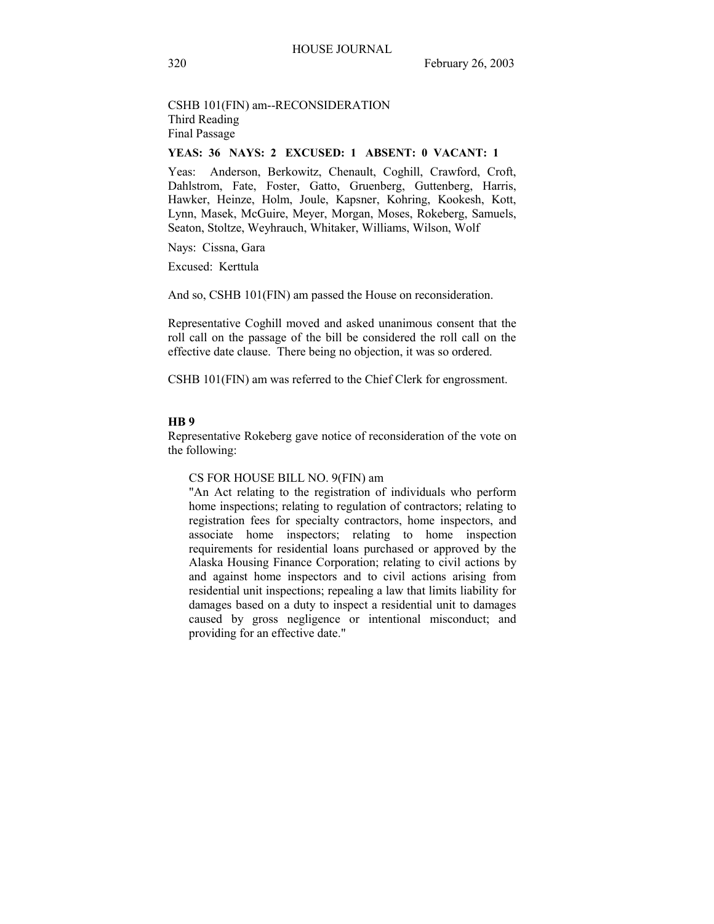# CSHB 101(FIN) am--RECONSIDERATION Third Reading Final Passage

## **YEAS: 36 NAYS: 2 EXCUSED: 1 ABSENT: 0 VACANT: 1**

Yeas: Anderson, Berkowitz, Chenault, Coghill, Crawford, Croft, Dahlstrom, Fate, Foster, Gatto, Gruenberg, Guttenberg, Harris, Hawker, Heinze, Holm, Joule, Kapsner, Kohring, Kookesh, Kott, Lynn, Masek, McGuire, Meyer, Morgan, Moses, Rokeberg, Samuels, Seaton, Stoltze, Weyhrauch, Whitaker, Williams, Wilson, Wolf

Nays: Cissna, Gara

Excused: Kerttula

And so, CSHB 101(FIN) am passed the House on reconsideration.

Representative Coghill moved and asked unanimous consent that the roll call on the passage of the bill be considered the roll call on the effective date clause. There being no objection, it was so ordered.

CSHB 101(FIN) am was referred to the Chief Clerk for engrossment.

#### **HB 9**

Representative Rokeberg gave notice of reconsideration of the vote on the following:

#### CS FOR HOUSE BILL NO. 9(FIN) am

"An Act relating to the registration of individuals who perform home inspections; relating to regulation of contractors; relating to registration fees for specialty contractors, home inspectors, and associate home inspectors; relating to home inspection requirements for residential loans purchased or approved by the Alaska Housing Finance Corporation; relating to civil actions by and against home inspectors and to civil actions arising from residential unit inspections; repealing a law that limits liability for damages based on a duty to inspect a residential unit to damages caused by gross negligence or intentional misconduct; and providing for an effective date."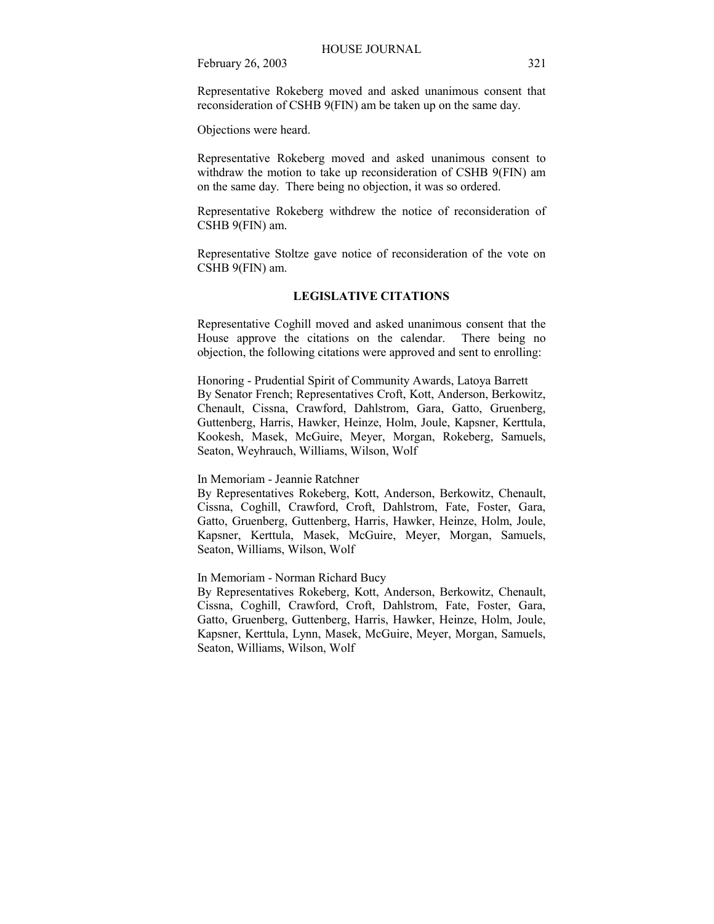Representative Rokeberg moved and asked unanimous consent that reconsideration of CSHB 9(FIN) am be taken up on the same day.

Objections were heard.

Representative Rokeberg moved and asked unanimous consent to withdraw the motion to take up reconsideration of CSHB 9(FIN) am on the same day. There being no objection, it was so ordered.

Representative Rokeberg withdrew the notice of reconsideration of CSHB 9(FIN) am.

Representative Stoltze gave notice of reconsideration of the vote on CSHB 9(FIN) am.

## **LEGISLATIVE CITATIONS**

Representative Coghill moved and asked unanimous consent that the House approve the citations on the calendar. There being no objection, the following citations were approved and sent to enrolling:

Honoring - Prudential Spirit of Community Awards, Latoya Barrett By Senator French; Representatives Croft, Kott, Anderson, Berkowitz, Chenault, Cissna, Crawford, Dahlstrom, Gara, Gatto, Gruenberg, Guttenberg, Harris, Hawker, Heinze, Holm, Joule, Kapsner, Kerttula, Kookesh, Masek, McGuire, Meyer, Morgan, Rokeberg, Samuels, Seaton, Weyhrauch, Williams, Wilson, Wolf

In Memoriam - Jeannie Ratchner

By Representatives Rokeberg, Kott, Anderson, Berkowitz, Chenault, Cissna, Coghill, Crawford, Croft, Dahlstrom, Fate, Foster, Gara, Gatto, Gruenberg, Guttenberg, Harris, Hawker, Heinze, Holm, Joule, Kapsner, Kerttula, Masek, McGuire, Meyer, Morgan, Samuels, Seaton, Williams, Wilson, Wolf

In Memoriam - Norman Richard Bucy

By Representatives Rokeberg, Kott, Anderson, Berkowitz, Chenault, Cissna, Coghill, Crawford, Croft, Dahlstrom, Fate, Foster, Gara, Gatto, Gruenberg, Guttenberg, Harris, Hawker, Heinze, Holm, Joule, Kapsner, Kerttula, Lynn, Masek, McGuire, Meyer, Morgan, Samuels, Seaton, Williams, Wilson, Wolf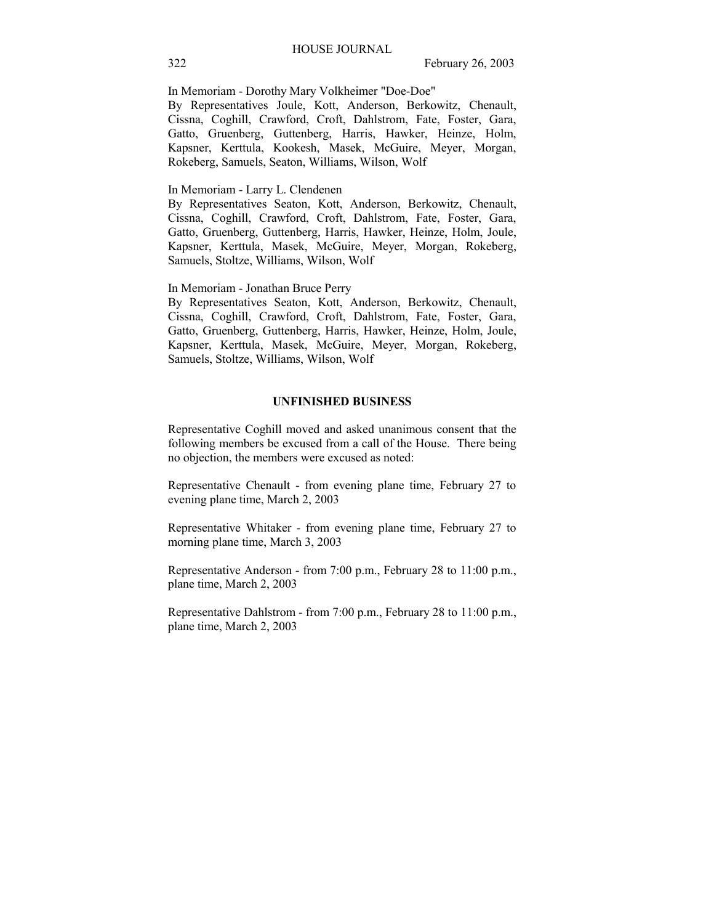In Memoriam - Dorothy Mary Volkheimer "Doe-Doe"

By Representatives Joule, Kott, Anderson, Berkowitz, Chenault, Cissna, Coghill, Crawford, Croft, Dahlstrom, Fate, Foster, Gara, Gatto, Gruenberg, Guttenberg, Harris, Hawker, Heinze, Holm, Kapsner, Kerttula, Kookesh, Masek, McGuire, Meyer, Morgan, Rokeberg, Samuels, Seaton, Williams, Wilson, Wolf

In Memoriam - Larry L. Clendenen

By Representatives Seaton, Kott, Anderson, Berkowitz, Chenault, Cissna, Coghill, Crawford, Croft, Dahlstrom, Fate, Foster, Gara, Gatto, Gruenberg, Guttenberg, Harris, Hawker, Heinze, Holm, Joule, Kapsner, Kerttula, Masek, McGuire, Meyer, Morgan, Rokeberg, Samuels, Stoltze, Williams, Wilson, Wolf

In Memoriam - Jonathan Bruce Perry

By Representatives Seaton, Kott, Anderson, Berkowitz, Chenault, Cissna, Coghill, Crawford, Croft, Dahlstrom, Fate, Foster, Gara, Gatto, Gruenberg, Guttenberg, Harris, Hawker, Heinze, Holm, Joule, Kapsner, Kerttula, Masek, McGuire, Meyer, Morgan, Rokeberg, Samuels, Stoltze, Williams, Wilson, Wolf

## **UNFINISHED BUSINESS**

Representative Coghill moved and asked unanimous consent that the following members be excused from a call of the House. There being no objection, the members were excused as noted:

Representative Chenault - from evening plane time, February 27 to evening plane time, March 2, 2003

Representative Whitaker - from evening plane time, February 27 to morning plane time, March 3, 2003

Representative Anderson - from 7:00 p.m., February 28 to 11:00 p.m., plane time, March 2, 2003

Representative Dahlstrom - from 7:00 p.m., February 28 to 11:00 p.m., plane time, March 2, 2003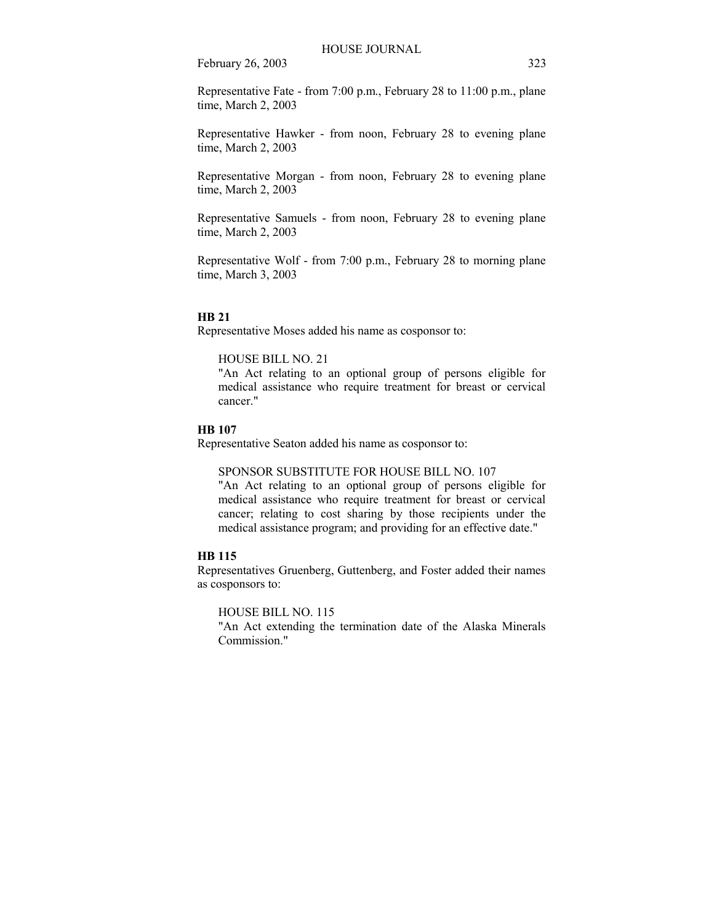Representative Fate - from 7:00 p.m., February 28 to 11:00 p.m., plane time, March 2, 2003

Representative Hawker - from noon, February 28 to evening plane time, March 2, 2003

Representative Morgan - from noon, February 28 to evening plane time, March 2, 2003

Representative Samuels - from noon, February 28 to evening plane time, March 2, 2003

Representative Wolf - from 7:00 p.m., February 28 to morning plane time, March 3, 2003

#### **HB 21**

Representative Moses added his name as cosponsor to:

## HOUSE BILL NO. 21

"An Act relating to an optional group of persons eligible for medical assistance who require treatment for breast or cervical cancer."

## **HB 107**

Representative Seaton added his name as cosponsor to:

#### SPONSOR SUBSTITUTE FOR HOUSE BILL NO. 107

"An Act relating to an optional group of persons eligible for medical assistance who require treatment for breast or cervical cancer; relating to cost sharing by those recipients under the medical assistance program; and providing for an effective date."

## **HB 115**

Representatives Gruenberg, Guttenberg, and Foster added their names as cosponsors to:

HOUSE BILL NO. 115

"An Act extending the termination date of the Alaska Minerals Commission."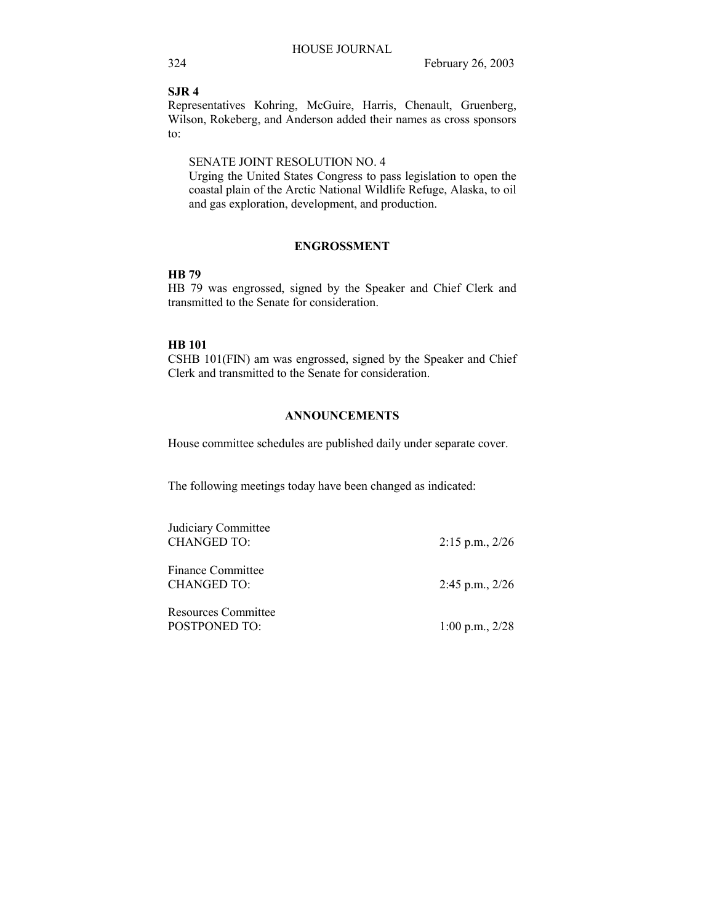**SJR 4**

Representatives Kohring, McGuire, Harris, Chenault, Gruenberg, Wilson, Rokeberg, and Anderson added their names as cross sponsors to:

## SENATE JOINT RESOLUTION NO. 4

Urging the United States Congress to pass legislation to open the coastal plain of the Arctic National Wildlife Refuge, Alaska, to oil and gas exploration, development, and production.

## **ENGROSSMENT**

## **HB 79**

HB 79 was engrossed, signed by the Speaker and Chief Clerk and transmitted to the Senate for consideration.

## **HB 101**

CSHB 101(FIN) am was engrossed, signed by the Speaker and Chief Clerk and transmitted to the Senate for consideration.

## **ANNOUNCEMENTS**

House committee schedules are published daily under separate cover.

The following meetings today have been changed as indicated:

| Judiciary Committee<br><b>CHANGED TO:</b>   | $2:15$ p.m., $2/26$ |
|---------------------------------------------|---------------------|
| <b>Finance Committee</b><br>CHANGED TO:     | $2:45$ p.m., $2/26$ |
| <b>Resources Committee</b><br>POSTPONED TO: | $1:00$ p.m., $2/28$ |